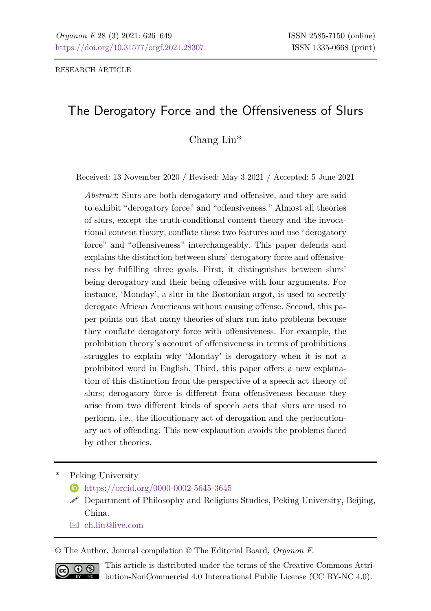# The Derogatory Force and the Offensiveness of Slurs

Chang Liu\*

Received: 13 November 2020 / Revised: May 3 2021 / Accepted: 5 June 2021

*Abstract*: Slurs are both derogatory and offensive, and they are said to exhibit "derogatory force" and "offensiveness." Almost all theories of slurs, except the truth-conditional content theory and the invocational content theory, conflate these two features and use "derogatory force" and "offensiveness" interchangeably. This paper defends and explains the distinction between slurs' derogatory force and offensiveness by fulfilling three goals. First, it distinguishes between slurs' being derogatory and their being offensive with four arguments. For instance, 'Monday', a slur in the Bostonian argot, is used to secretly derogate African Americans without causing offense. Second, this paper points out that many theories of slurs run into problems because they conflate derogatory force with offensiveness. For example, the prohibition theory's account of offensiveness in terms of prohibitions struggles to explain why 'Monday' is derogatory when it is not a prohibited word in English. Third, this paper offers a new explanation of this distinction from the perspective of a speech act theory of slurs; derogatory force is different from offensiveness because they arise from two different kinds of speech acts that slurs are used to perform, i.e., the illocutionary act of derogation and the perlocutionary act of offending. This new explanation avoids the problems faced by other theories.

Peking University

- <https://orcid.org/0000-0002-5645-3645>
- $\mathscr P$  Department of Philosophy and Religious Studies, Peking University, Beijing, China.
- [ch.liu@live.com](mailto:ch.liu@live.com)

© The Author. Journal compilation © The Editorial Board, *Organon F*.



This article is distributed under the terms of the Creative Commons Attribution-NonCommercial 4.0 International Public License (CC BY-NC 4.0).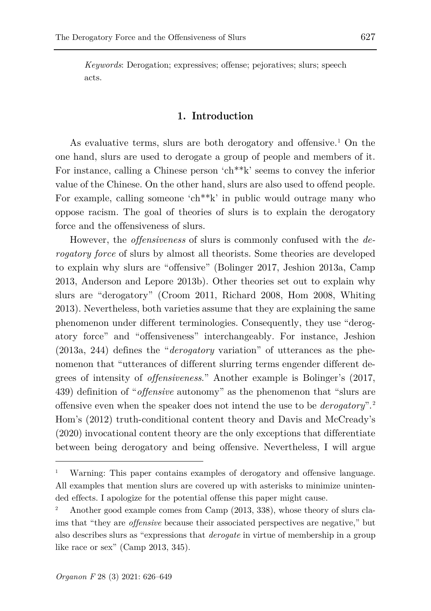*Keywords*: Derogation; expressives; offense; pejoratives; slurs; speech acts.

## **1. Introduction**

As evaluative terms, slurs are both derogatory and offensive.<sup>[1](#page-1-0)</sup> On the one hand, slurs are used to derogate a group of people and members of it. For instance, calling a Chinese person 'ch\*\*k' seems to convey the inferior value of the Chinese. On the other hand, slurs are also used to offend people. For example, calling someone 'ch\*\*k' in public would outrage many who oppose racism. The goal of theories of slurs is to explain the derogatory force and the offensiveness of slurs.

However, the *offensiveness* of slurs is commonly confused with the *derogatory force* of slurs by almost all theorists. Some theories are developed to explain why slurs are "offensive" (Bolinger 2017, Jeshion 2013a, Camp 2013, Anderson and Lepore 2013b). Other theories set out to explain why slurs are "derogatory" (Croom 2011, Richard 2008, Hom 2008, Whiting 2013). Nevertheless, both varieties assume that they are explaining the same phenomenon under different terminologies. Consequently, they use "derogatory force" and "offensiveness" interchangeably. For instance, Jeshion (2013a, 244) defines the "*derogatory* variation" of utterances as the phenomenon that "utterances of different slurring terms engender different degrees of intensity of *offensiveness*." Another example is Bolinger's (2017, 439) definition of "*offensive* autonomy" as the phenomenon that "slurs are offensive even when the speaker does not intend the use to be *derogatory*".[2](#page-1-1) Hom's (2012) truth-conditional content theory and Davis and McCready's (2020) invocational content theory are the only exceptions that differentiate between being derogatory and being offensive. Nevertheless, I will argue

<span id="page-1-0"></span><sup>1</sup> Warning: This paper contains examples of derogatory and offensive language. All examples that mention slurs are covered up with asterisks to minimize unintended effects. I apologize for the potential offense this paper might cause.

<span id="page-1-1"></span><sup>2</sup> Another good example comes from Camp (2013, 338), whose theory of slurs claims that "they are *offensive* because their associated perspectives are negative," but also describes slurs as "expressions that *derogate* in virtue of membership in a group like race or sex" (Camp 2013, 345).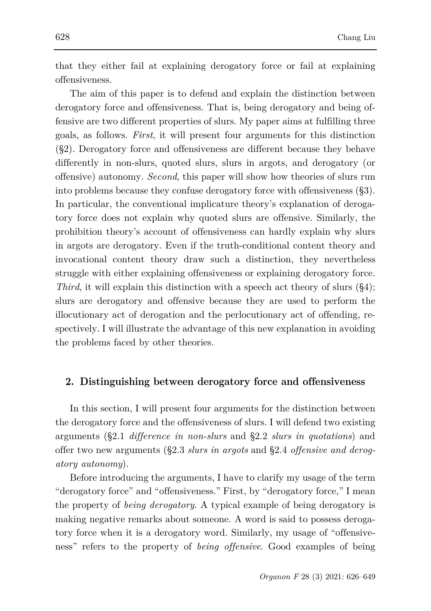that they either fail at explaining derogatory force or fail at explaining offensiveness.

The aim of this paper is to defend and explain the distinction between derogatory force and offensiveness. That is, being derogatory and being offensive are two different properties of slurs. My paper aims at fulfilling three goals, as follows. *First*, it will present four arguments for this distinction (§2). Derogatory force and offensiveness are different because they behave differently in non-slurs, quoted slurs, slurs in argots, and derogatory (or offensive) autonomy. *Second*, this paper will show how theories of slurs run into problems because they confuse derogatory force with offensiveness (§3). In particular, the conventional implicature theory's explanation of derogatory force does not explain why quoted slurs are offensive. Similarly, the prohibition theory's account of offensiveness can hardly explain why slurs in argots are derogatory. Even if the truth-conditional content theory and invocational content theory draw such a distinction, they nevertheless struggle with either explaining offensiveness or explaining derogatory force. *Third*, it will explain this distinction with a speech act theory of slurs (§4); slurs are derogatory and offensive because they are used to perform the illocutionary act of derogation and the perlocutionary act of offending, respectively. I will illustrate the advantage of this new explanation in avoiding the problems faced by other theories.

# **2. Distinguishing between derogatory force and offensiveness**

In this section, I will present four arguments for the distinction between the derogatory force and the offensiveness of slurs. I will defend two existing arguments (§2.1 *difference in non-slurs* and §2.2 *slurs in quotations*) and offer two new arguments (§2.3 *slurs in argots* and §2.4 *offensive and derogatory autonomy*).

Before introducing the arguments, I have to clarify my usage of the term "derogatory force" and "offensiveness." First, by "derogatory force," I mean the property of *being derogatory*. A typical example of being derogatory is making negative remarks about someone. A word is said to possess derogatory force when it is a derogatory word. Similarly, my usage of "offensiveness" refers to the property of *being offensive*. Good examples of being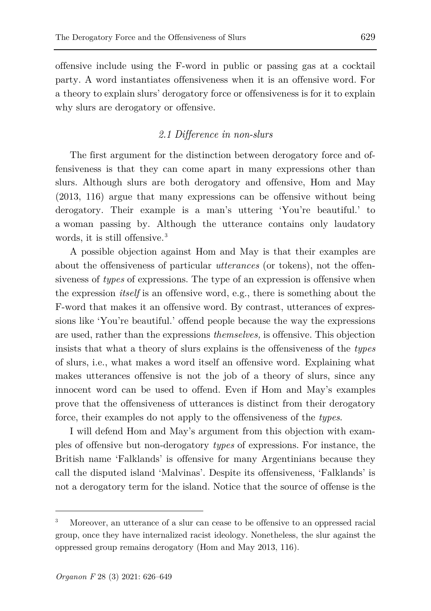offensive include using the F-word in public or passing gas at a cocktail party. A word instantiates offensiveness when it is an offensive word. For a theory to explain slurs' derogatory force or offensiveness is for it to explain why slurs are derogatory or offensive.

# *2.1 Difference in non-slurs*

The first argument for the distinction between derogatory force and offensiveness is that they can come apart in many expressions other than slurs. Although slurs are both derogatory and offensive, Hom and May (2013, 116) argue that many expressions can be offensive without being derogatory. Their example is a man's uttering 'You're beautiful.' to a woman passing by. Although the utterance contains only laudatory words, it is still offensive.<sup>[3](#page-3-0)</sup>

A possible objection against Hom and May is that their examples are about the offensiveness of particular *utterances* (or tokens), not the offensiveness of *types* of expressions. The type of an expression is offensive when the expression *itself* is an offensive word, e.g., there is something about the F-word that makes it an offensive word. By contrast, utterances of expressions like 'You're beautiful.' offend people because the way the expressions are used, rather than the expressions *themselves,* is offensive. This objection insists that what a theory of slurs explains is the offensiveness of the *types* of slurs, i.e., what makes a word itself an offensive word. Explaining what makes utterances offensive is not the job of a theory of slurs, since any innocent word can be used to offend. Even if Hom and May's examples prove that the offensiveness of utterances is distinct from their derogatory force, their examples do not apply to the offensiveness of the *types*.

I will defend Hom and May's argument from this objection with examples of offensive but non-derogatory *types* of expressions. For instance, the British name 'Falklands' is offensive for many Argentinians because they call the disputed island 'Malvinas'. Despite its offensiveness, 'Falklands' is not a derogatory term for the island. Notice that the source of offense is the

<span id="page-3-0"></span><sup>3</sup> Moreover, an utterance of a slur can cease to be offensive to an oppressed racial group, once they have internalized racist ideology. Nonetheless, the slur against the oppressed group remains derogatory (Hom and May 2013, 116).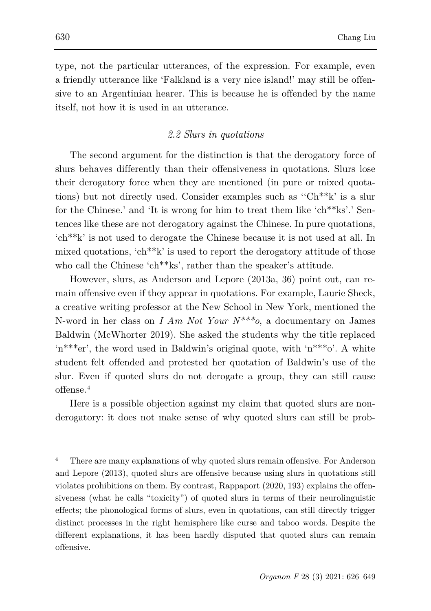type, not the particular utterances, of the expression. For example, even a friendly utterance like 'Falkland is a very nice island!' may still be offensive to an Argentinian hearer. This is because he is offended by the name itself, not how it is used in an utterance.

# *2.2 Slurs in quotations*

The second argument for the distinction is that the derogatory force of slurs behaves differently than their offensiveness in quotations. Slurs lose their derogatory force when they are mentioned (in pure or mixed quotations) but not directly used. Consider examples such as ''Ch\*\*k' is a slur for the Chinese.' and 'It is wrong for him to treat them like 'ch\*\*ks'.' Sentences like these are not derogatory against the Chinese. In pure quotations, 'ch\*\*k' is not used to derogate the Chinese because it is not used at all. In mixed quotations, 'ch\*\*k' is used to report the derogatory attitude of those who call the Chinese 'ch\*\*ks', rather than the speaker's attitude.

However, slurs, as Anderson and Lepore (2013a, 36) point out, can remain offensive even if they appear in quotations. For example, Laurie Sheck, a creative writing professor at the New School in New York, mentioned the N-word in her class on *I Am Not Your N\*\*\*o*, a documentary on James Baldwin (McWhorter 2019). She asked the students why the title replaced 'n\*\*\*er', the word used in Baldwin's original quote, with 'n\*\*\*o'. A white student felt offended and protested her quotation of Baldwin's use of the slur. Even if quoted slurs do not derogate a group, they can still cause offense.[4](#page-4-0)

Here is a possible objection against my claim that quoted slurs are nonderogatory: it does not make sense of why quoted slurs can still be prob-

<span id="page-4-0"></span>There are many explanations of why quoted slurs remain offensive. For Anderson and Lepore (2013), quoted slurs are offensive because using slurs in quotations still violates prohibitions on them. By contrast, Rappaport (2020, 193) explains the offensiveness (what he calls "toxicity") of quoted slurs in terms of their neurolinguistic effects; the phonological forms of slurs, even in quotations, can still directly trigger distinct processes in the right hemisphere like curse and taboo words. Despite the different explanations, it has been hardly disputed that quoted slurs can remain offensive.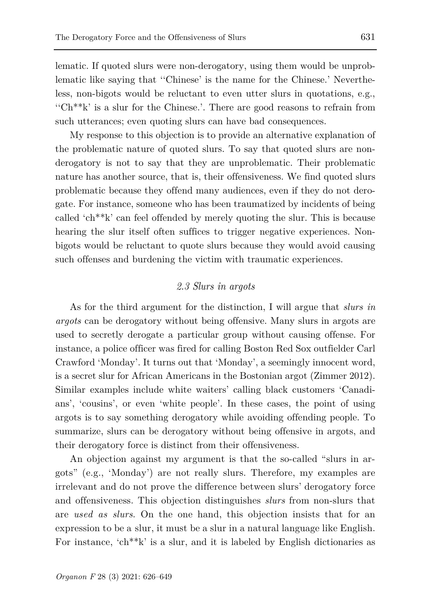lematic. If quoted slurs were non-derogatory, using them would be unproblematic like saying that ''Chinese' is the name for the Chinese.' Nevertheless, non-bigots would be reluctant to even utter slurs in quotations, e.g., " $Ch<sup>**k</sup>$ " is a slur for the Chinese.". There are good reasons to refrain from such utterances; even quoting slurs can have bad consequences.

My response to this objection is to provide an alternative explanation of the problematic nature of quoted slurs. To say that quoted slurs are nonderogatory is not to say that they are unproblematic. Their problematic nature has another source, that is, their offensiveness. We find quoted slurs problematic because they offend many audiences, even if they do not derogate. For instance, someone who has been traumatized by incidents of being called 'ch\*\*k' can feel offended by merely quoting the slur. This is because hearing the slur itself often suffices to trigger negative experiences. Nonbigots would be reluctant to quote slurs because they would avoid causing such offenses and burdening the victim with traumatic experiences.

#### *2.3 Slurs in argots*

As for the third argument for the distinction, I will argue that *slurs in argots* can be derogatory without being offensive. Many slurs in argots are used to secretly derogate a particular group without causing offense. For instance, a police officer was fired for calling Boston Red Sox outfielder Carl Crawford 'Monday'. It turns out that 'Monday', a seemingly innocent word, is a secret slur for African Americans in the Bostonian argot (Zimmer 2012). Similar examples include white waiters' calling black customers 'Canadians', 'cousins', or even 'white people'. In these cases, the point of using argots is to say something derogatory while avoiding offending people. To summarize, slurs can be derogatory without being offensive in argots, and their derogatory force is distinct from their offensiveness.

An objection against my argument is that the so-called "slurs in argots" (e.g., 'Monday') are not really slurs. Therefore, my examples are irrelevant and do not prove the difference between slurs' derogatory force and offensiveness. This objection distinguishes *slurs* from non-slurs that are *used as slurs*. On the one hand, this objection insists that for an expression to be a slur, it must be a slur in a natural language like English. For instance, 'ch\*\*k' is a slur, and it is labeled by English dictionaries as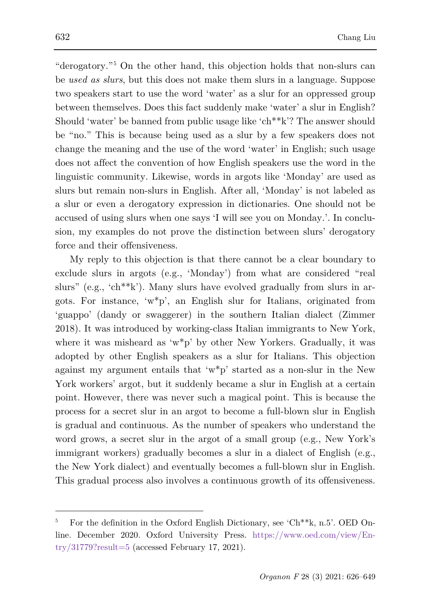"derogatory."[5](#page-6-0) On the other hand, this objection holds that non-slurs can be *used as slurs*, but this does not make them slurs in a language. Suppose two speakers start to use the word 'water' as a slur for an oppressed group between themselves. Does this fact suddenly make 'water' a slur in English? Should 'water' be banned from public usage like 'ch\*\*k'? The answer should be "no." This is because being used as a slur by a few speakers does not change the meaning and the use of the word 'water' in English; such usage does not affect the convention of how English speakers use the word in the linguistic community. Likewise, words in argots like 'Monday' are used as slurs but remain non-slurs in English. After all, 'Monday' is not labeled as a slur or even a derogatory expression in dictionaries. One should not be accused of using slurs when one says 'I will see you on Monday.'. In conclusion, my examples do not prove the distinction between slurs' derogatory force and their offensiveness.

My reply to this objection is that there cannot be a clear boundary to exclude slurs in argots (e.g., 'Monday') from what are considered "real slurs" (e.g., 'ch<sup>\*\*</sup>k'). Many slurs have evolved gradually from slurs in argots. For instance, 'w\*p', an English slur for Italians, originated from 'guappo' (dandy or swaggerer) in the southern Italian dialect (Zimmer 2018). It was introduced by working-class Italian immigrants to New York, where it was misheard as 'w\*p' by other New Yorkers. Gradually, it was adopted by other English speakers as a slur for Italians. This objection against my argument entails that 'w\*p' started as a non-slur in the New York workers' argot, but it suddenly became a slur in English at a certain point. However, there was never such a magical point. This is because the process for a secret slur in an argot to become a full-blown slur in English is gradual and continuous. As the number of speakers who understand the word grows, a secret slur in the argot of a small group (e.g., New York's immigrant workers) gradually becomes a slur in a dialect of English (e.g., the New York dialect) and eventually becomes a full-blown slur in English. This gradual process also involves a continuous growth of its offensiveness.

<span id="page-6-0"></span><sup>5</sup> For the definition in the Oxford English Dictionary, see 'Ch\*\*k, n.5'. OED Online. December 2020. Oxford University Press. [https://www.oed.com/view/En-](https://www.oed.com/view/Entry/31779?result=5) $\text{try}/31779?$ result=5 (accessed February 17, 2021).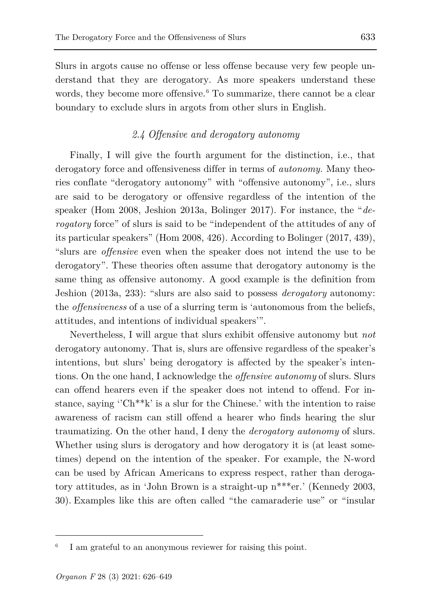Slurs in argots cause no offense or less offense because very few people understand that they are derogatory. As more speakers understand these words, they become more offensive.<sup>[6](#page-7-0)</sup> To summarize, there cannot be a clear boundary to exclude slurs in argots from other slurs in English.

# *2.4 Offensive and derogatory autonomy*

Finally, I will give the fourth argument for the distinction, i.e., that derogatory force and offensiveness differ in terms of *autonomy.* Many theories conflate "derogatory autonomy" with "offensive autonomy", i.e., slurs are said to be derogatory or offensive regardless of the intention of the speaker (Hom 2008, Jeshion 2013a, Bolinger 2017). For instance, the "*derogatory* force" of slurs is said to be "independent of the attitudes of any of its particular speakers" (Hom 2008, 426). According to Bolinger (2017, 439), "slurs are *offensive* even when the speaker does not intend the use to be derogatory". These theories often assume that derogatory autonomy is the same thing as offensive autonomy. A good example is the definition from Jeshion (2013a, 233): "slurs are also said to possess *derogatory* autonomy: the *offensiveness* of a use of a slurring term is 'autonomous from the beliefs, attitudes, and intentions of individual speakers'".

Nevertheless, I will argue that slurs exhibit offensive autonomy but *not* derogatory autonomy. That is, slurs are offensive regardless of the speaker's intentions, but slurs' being derogatory is affected by the speaker's intentions. On the one hand, I acknowledge the *offensive autonomy* of slurs. Slurs can offend hearers even if the speaker does not intend to offend. For instance, saying " $Ch<sup>**k</sup>$ " is a slur for the Chinese.' with the intention to raise awareness of racism can still offend a hearer who finds hearing the slur traumatizing. On the other hand, I deny the *derogatory autonomy* of slurs. Whether using slurs is derogatory and how derogatory it is (at least sometimes) depend on the intention of the speaker. For example, the N-word can be used by African Americans to express respect, rather than derogatory attitudes, as in 'John Brown is a straight-up n\*\*\*er.' (Kennedy 2003, 30). Examples like this are often called "the camaraderie use" or "insular

<span id="page-7-0"></span>I am grateful to an anonymous reviewer for raising this point.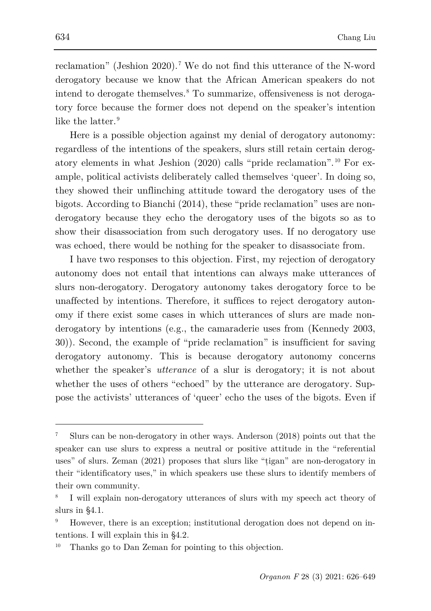reclamation" (Jeshion 2020). [7](#page-8-0) We do not find this utterance of the N-word derogatory because we know that the African American speakers do not intend to derogate themselves.[8](#page-8-1) To summarize, offensiveness is not derogatory force because the former does not depend on the speaker's intention like the latter.<sup>[9](#page-8-2)</sup>

Here is a possible objection against my denial of derogatory autonomy: regardless of the intentions of the speakers, slurs still retain certain derogatory elements in what Jeshion (2020) calls "pride reclamation". [10](#page-8-3) For example, political activists deliberately called themselves 'queer'. In doing so, they showed their unflinching attitude toward the derogatory uses of the bigots. According to Bianchi (2014), these "pride reclamation" uses are nonderogatory because they echo the derogatory uses of the bigots so as to show their disassociation from such derogatory uses. If no derogatory use was echoed, there would be nothing for the speaker to disassociate from.

I have two responses to this objection. First, my rejection of derogatory autonomy does not entail that intentions can always make utterances of slurs non-derogatory. Derogatory autonomy takes derogatory force to be unaffected by intentions. Therefore, it suffices to reject derogatory autonomy if there exist some cases in which utterances of slurs are made nonderogatory by intentions (e.g., the camaraderie uses from (Kennedy 2003, 30)). Second, the example of "pride reclamation" is insufficient for saving derogatory autonomy. This is because derogatory autonomy concerns whether the speaker's *utterance* of a slur is derogatory; it is not about whether the uses of others "echoed" by the utterance are derogatory. Suppose the activists' utterances of 'queer' echo the uses of the bigots. Even if

<span id="page-8-0"></span><sup>7</sup> Slurs can be non-derogatory in other ways. Anderson (2018) points out that the speaker can use slurs to express a neutral or positive attitude in the "referential uses" of slurs. Zeman (2021) proposes that slurs like "țigan" are non-derogatory in their "identificatory uses," in which speakers use these slurs to identify members of their own community.

<span id="page-8-1"></span>I will explain non-derogatory utterances of slurs with my speech act theory of slurs in §4.1.

<span id="page-8-2"></span>However, there is an exception; institutional derogation does not depend on intentions. I will explain this in §4.2.

<span id="page-8-3"></span>Thanks go to Dan Zeman for pointing to this objection.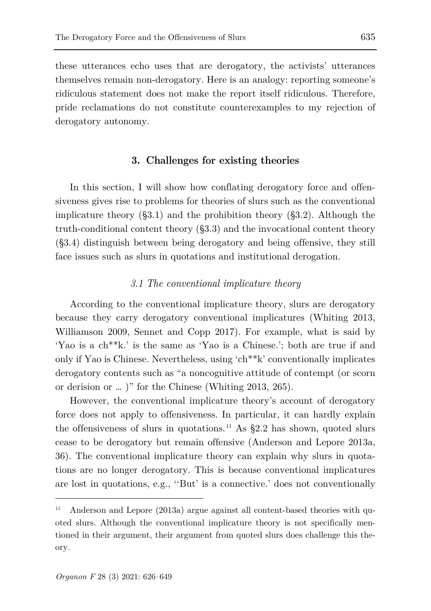these utterances echo uses that are derogatory, the activists' utterances themselves remain non-derogatory. Here is an analogy: reporting someone's ridiculous statement does not make the report itself ridiculous. Therefore, pride reclamations do not constitute counterexamples to my rejection of derogatory autonomy.

## **3. Challenges for existing theories**

In this section, I will show how conflating derogatory force and offensiveness gives rise to problems for theories of slurs such as the conventional implicature theory (§3.1) and the prohibition theory (§3.2). Although the truth-conditional content theory (§3.3) and the invocational content theory (§3.4) distinguish between being derogatory and being offensive, they still face issues such as slurs in quotations and institutional derogation.

# *3.1 The conventional implicature theory*

According to the conventional implicature theory, slurs are derogatory because they carry derogatory conventional implicatures (Whiting 2013, Williamson 2009, Sennet and Copp 2017). For example, what is said by 'Yao is a ch\*\*k.' is the same as 'Yao is a Chinese.'; both are true if and only if Yao is Chinese. Nevertheless, using 'ch\*\*k' conventionally implicates derogatory contents such as "a noncognitive attitude of contempt (or scorn or derision or … )" for the Chinese (Whiting 2013, 265).

However, the conventional implicature theory's account of derogatory force does not apply to offensiveness. In particular, it can hardly explain the offensiveness of slurs in quotations.<sup>[11](#page-9-0)</sup> As  $\S 2.2$  has shown, quoted slurs cease to be derogatory but remain offensive (Anderson and Lepore 2013a, 36). The conventional implicature theory can explain why slurs in quotations are no longer derogatory. This is because conventional implicatures are lost in quotations, e.g., ''But' is a connective.' does not conventionally

<span id="page-9-0"></span><sup>&</sup>lt;sup>11</sup> Anderson and Lepore (2013a) argue against all content-based theories with quoted slurs. Although the conventional implicature theory is not specifically mentioned in their argument, their argument from quoted slurs does challenge this theory.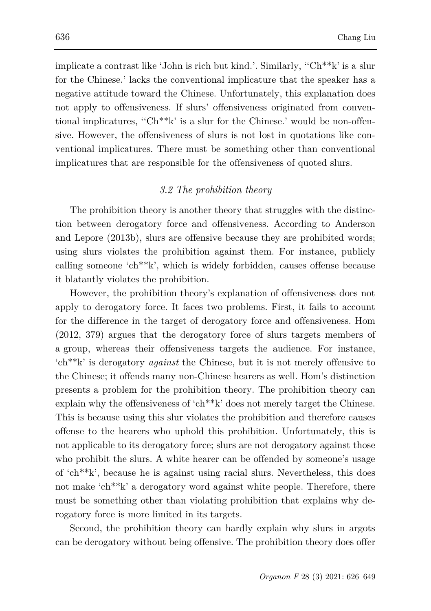implicate a contrast like 'John is rich but kind.'. Similarly, "Ch<sup>\*\*</sup>k' is a slur for the Chinese.' lacks the conventional implicature that the speaker has a negative attitude toward the Chinese. Unfortunately, this explanation does not apply to offensiveness. If slurs' offensiveness originated from conventional implicatures, ''Ch\*\*k' is a slur for the Chinese.' would be non-offensive. However, the offensiveness of slurs is not lost in quotations like conventional implicatures. There must be something other than conventional implicatures that are responsible for the offensiveness of quoted slurs.

# *3.2 The prohibition theory*

The prohibition theory is another theory that struggles with the distinction between derogatory force and offensiveness. According to Anderson and Lepore (2013b), slurs are offensive because they are prohibited words; using slurs violates the prohibition against them. For instance, publicly calling someone 'ch\*\*k', which is widely forbidden, causes offense because it blatantly violates the prohibition.

However, the prohibition theory's explanation of offensiveness does not apply to derogatory force. It faces two problems. First, it fails to account for the difference in the target of derogatory force and offensiveness. Hom (2012, 379) argues that the derogatory force of slurs targets members of a group, whereas their offensiveness targets the audience. For instance, 'ch\*\*k' is derogatory *against* the Chinese, but it is not merely offensive to the Chinese; it offends many non-Chinese hearers as well. Hom's distinction presents a problem for the prohibition theory. The prohibition theory can explain why the offensiveness of 'ch\*\*k' does not merely target the Chinese. This is because using this slur violates the prohibition and therefore causes offense to the hearers who uphold this prohibition. Unfortunately, this is not applicable to its derogatory force; slurs are not derogatory against those who prohibit the slurs. A white hearer can be offended by someone's usage of 'ch\*\*k', because he is against using racial slurs. Nevertheless, this does not make 'ch\*\*k' a derogatory word against white people. Therefore, there must be something other than violating prohibition that explains why derogatory force is more limited in its targets.

Second, the prohibition theory can hardly explain why slurs in argots can be derogatory without being offensive. The prohibition theory does offer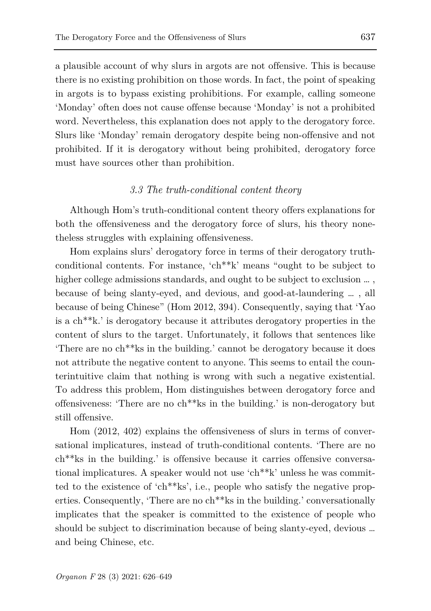a plausible account of why slurs in argots are not offensive. This is because there is no existing prohibition on those words. In fact, the point of speaking in argots is to bypass existing prohibitions. For example, calling someone 'Monday' often does not cause offense because 'Monday' is not a prohibited word. Nevertheless, this explanation does not apply to the derogatory force. Slurs like 'Monday' remain derogatory despite being non-offensive and not prohibited. If it is derogatory without being prohibited, derogatory force must have sources other than prohibition.

#### *3.3 The truth-conditional content theory*

Although Hom's truth-conditional content theory offers explanations for both the offensiveness and the derogatory force of slurs, his theory nonetheless struggles with explaining offensiveness.

Hom explains slurs' derogatory force in terms of their derogatory truthconditional contents. For instance, 'ch\*\*k' means "ought to be subject to higher college admissions standards, and ought to be subject to exclusion  $\dots$ . because of being slanty-eyed, and devious, and good-at-laundering … , all because of being Chinese" (Hom 2012, 394). Consequently, saying that 'Yao is a ch\*\*k.' is derogatory because it attributes derogatory properties in the content of slurs to the target. Unfortunately, it follows that sentences like 'There are no ch\*\*ks in the building.' cannot be derogatory because it does not attribute the negative content to anyone. This seems to entail the counterintuitive claim that nothing is wrong with such a negative existential. To address this problem, Hom distinguishes between derogatory force and offensiveness: 'There are no ch\*\*ks in the building.' is non-derogatory but still offensive.

Hom (2012, 402) explains the offensiveness of slurs in terms of conversational implicatures, instead of truth-conditional contents. 'There are no ch\*\*ks in the building.' is offensive because it carries offensive conversational implicatures. A speaker would not use 'ch\*\*k' unless he was committed to the existence of 'ch\*\*ks', i.e., people who satisfy the negative properties. Consequently, 'There are no ch<sup>\*\*</sup>ks in the building.' conversationally implicates that the speaker is committed to the existence of people who should be subject to discrimination because of being slanty-eyed, devious … and being Chinese, etc.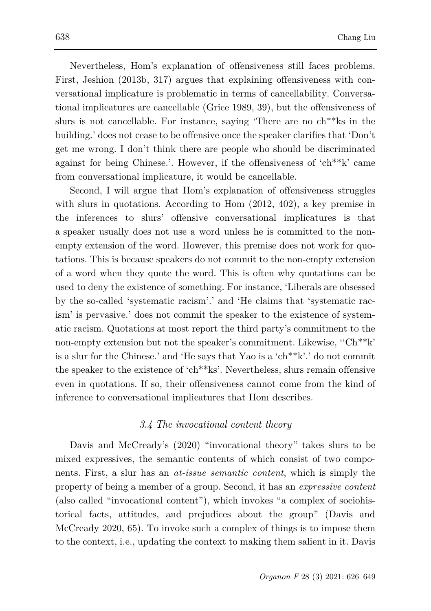Nevertheless, Hom's explanation of offensiveness still faces problems. First, Jeshion (2013b, 317) argues that explaining offensiveness with conversational implicature is problematic in terms of cancellability. Conversational implicatures are cancellable (Grice 1989, 39), but the offensiveness of slurs is not cancellable. For instance, saying 'There are no ch\*\*ks in the building.' does not cease to be offensive once the speaker clarifies that 'Don't get me wrong. I don't think there are people who should be discriminated against for being Chinese.'. However, if the offensiveness of 'ch\*\*k' came from conversational implicature, it would be cancellable.

Second, I will argue that Hom's explanation of offensiveness struggles with slurs in quotations. According to Hom (2012, 402), a key premise in the inferences to slurs' offensive conversational implicatures is that a speaker usually does not use a word unless he is committed to the nonempty extension of the word. However, this premise does not work for quotations. This is because speakers do not commit to the non-empty extension of a word when they quote the word. This is often why quotations can be used to deny the existence of something. For instance, 'Liberals are obsessed by the so-called 'systematic racism'.' and 'He claims that 'systematic racism' is pervasive.' does not commit the speaker to the existence of systematic racism. Quotations at most report the third party's commitment to the non-empty extension but not the speaker's commitment. Likewise, ''Ch\*\*k' is a slur for the Chinese.' and 'He says that Yao is a 'ch\*\*k'.' do not commit the speaker to the existence of 'ch\*\*ks'. Nevertheless, slurs remain offensive even in quotations. If so, their offensiveness cannot come from the kind of inference to conversational implicatures that Hom describes.

## *3.4 The invocational content theory*

Davis and McCready's (2020) "invocational theory" takes slurs to be mixed expressives, the semantic contents of which consist of two components. First, a slur has an *at-issue semantic content*, which is simply the property of being a member of a group. Second, it has an *expressive content*  (also called "invocational content"), which invokes "a complex of sociohistorical facts, attitudes, and prejudices about the group" (Davis and McCready 2020, 65). To invoke such a complex of things is to impose them to the context, i.e., updating the context to making them salient in it. Davis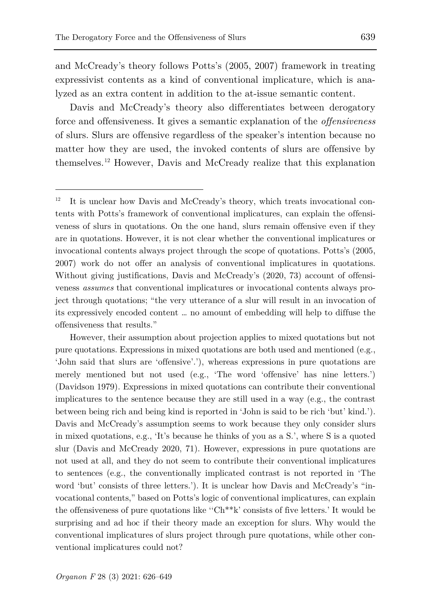ł

and McCready's theory follows Potts's (2005, 2007) framework in treating expressivist contents as a kind of conventional implicature, which is analyzed as an extra content in addition to the at-issue semantic content.

Davis and McCready's theory also differentiates between derogatory force and offensiveness. It gives a semantic explanation of the *offensiveness* of slurs. Slurs are offensive regardless of the speaker's intention because no matter how they are used, the invoked contents of slurs are offensive by themselves.[12](#page-13-0) However, Davis and McCready realize that this explanation

<span id="page-13-0"></span> $12$  It is unclear how Davis and McCready's theory, which treats invocational contents with Potts's framework of conventional implicatures, can explain the offensiveness of slurs in quotations. On the one hand, slurs remain offensive even if they are in quotations. However, it is not clear whether the conventional implicatures or invocational contents always project through the scope of quotations. Potts's (2005, 2007) work do not offer an analysis of conventional implicatures in quotations. Without giving justifications, Davis and McCready's (2020, 73) account of offensiveness *assumes* that conventional implicatures or invocational contents always project through quotations; "the very utterance of a slur will result in an invocation of its expressively encoded content … no amount of embedding will help to diffuse the offensiveness that results."

However, their assumption about projection applies to mixed quotations but not pure quotations. Expressions in mixed quotations are both used and mentioned (e.g., 'John said that slurs are 'offensive'.'), whereas expressions in pure quotations are merely mentioned but not used (e.g., 'The word 'offensive' has nine letters.') (Davidson 1979). Expressions in mixed quotations can contribute their conventional implicatures to the sentence because they are still used in a way (e.g., the contrast between being rich and being kind is reported in 'John is said to be rich 'but' kind.'). Davis and McCready's assumption seems to work because they only consider slurs in mixed quotations, e.g., 'It's because he thinks of you as a S.', where S is a quoted slur (Davis and McCready 2020, 71). However, expressions in pure quotations are not used at all, and they do not seem to contribute their conventional implicatures to sentences (e.g., the conventionally implicated contrast is not reported in 'The word 'but' consists of three letters.'). It is unclear how Davis and McCready's "invocational contents," based on Potts's logic of conventional implicatures, can explain the offensiveness of pure quotations like ''Ch\*\*k' consists of five letters.' It would be surprising and ad hoc if their theory made an exception for slurs. Why would the conventional implicatures of slurs project through pure quotations, while other conventional implicatures could not?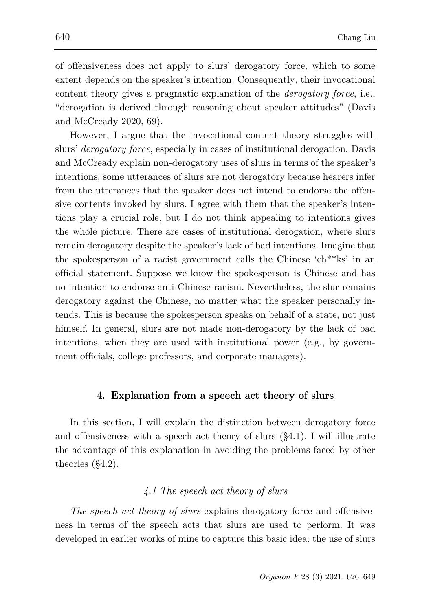of offensiveness does not apply to slurs' derogatory force, which to some extent depends on the speaker's intention. Consequently, their invocational content theory gives a pragmatic explanation of the *derogatory force*, i.e., "derogation is derived through reasoning about speaker attitudes" (Davis and McCready 2020, 69).

However, I argue that the invocational content theory struggles with slurs' *derogatory force*, especially in cases of institutional derogation. Davis and McCready explain non-derogatory uses of slurs in terms of the speaker's intentions; some utterances of slurs are not derogatory because hearers infer from the utterances that the speaker does not intend to endorse the offensive contents invoked by slurs. I agree with them that the speaker's intentions play a crucial role, but I do not think appealing to intentions gives the whole picture. There are cases of institutional derogation, where slurs remain derogatory despite the speaker's lack of bad intentions. Imagine that the spokesperson of a racist government calls the Chinese 'ch\*\*ks' in an official statement. Suppose we know the spokesperson is Chinese and has no intention to endorse anti-Chinese racism. Nevertheless, the slur remains derogatory against the Chinese, no matter what the speaker personally intends. This is because the spokesperson speaks on behalf of a state, not just himself. In general, slurs are not made non-derogatory by the lack of bad intentions, when they are used with institutional power (e.g., by government officials, college professors, and corporate managers).

## **4. Explanation from a speech act theory of slurs**

In this section, I will explain the distinction between derogatory force and offensiveness with a speech act theory of slurs (§4.1). I will illustrate the advantage of this explanation in avoiding the problems faced by other theories (§4.2).

# *4.1 The speech act theory of slurs*

*The speech act theory of slurs* explains derogatory force and offensiveness in terms of the speech acts that slurs are used to perform. It was developed in earlier works of mine to capture this basic idea: the use of slurs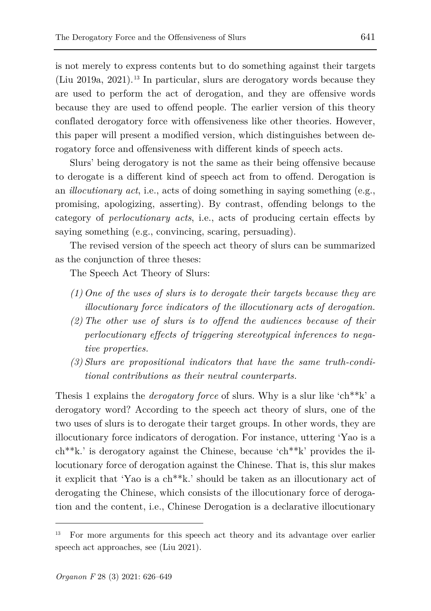is not merely to express contents but to do something against their targets (Liu 2019a, 2021). [13](#page-15-0) In particular, slurs are derogatory words because they are used to perform the act of derogation, and they are offensive words because they are used to offend people. The earlier version of this theory conflated derogatory force with offensiveness like other theories. However, this paper will present a modified version, which distinguishes between derogatory force and offensiveness with different kinds of speech acts.

Slurs' being derogatory is not the same as their being offensive because to derogate is a different kind of speech act from to offend. Derogation is an *illocutionary act*, i.e., acts of doing something in saying something (e.g., promising, apologizing, asserting). By contrast, offending belongs to the category of *perlocutionary acts*, i.e., acts of producing certain effects by saying something (e.g., convincing, scaring, persuading).

The revised version of the speech act theory of slurs can be summarized as the conjunction of three theses:

The Speech Act Theory of Slurs:

- *(1) One of the uses of slurs is to derogate their targets because they are illocutionary force indicators of the illocutionary acts of derogation.*
- *(2) The other use of slurs is to offend the audiences because of their perlocutionary effects of triggering stereotypical inferences to negative properties.*
- *(3) Slurs are propositional indicators that have the same truth-conditional contributions as their neutral counterparts.*

Thesis 1 explains the *derogatory force* of slurs. Why is a slur like 'ch\*\*k' a derogatory word? According to the speech act theory of slurs, one of the two uses of slurs is to derogate their target groups. In other words, they are illocutionary force indicators of derogation. For instance, uttering 'Yao is a ch\*\*k.' is derogatory against the Chinese, because 'ch\*\*k' provides the illocutionary force of derogation against the Chinese. That is, this slur makes it explicit that 'Yao is a ch\*\*k.' should be taken as an illocutionary act of derogating the Chinese, which consists of the illocutionary force of derogation and the content, i.e., Chinese Derogation is a declarative illocutionary

<span id="page-15-0"></span><sup>13</sup> For more arguments for this speech act theory and its advantage over earlier speech act approaches, see (Liu 2021).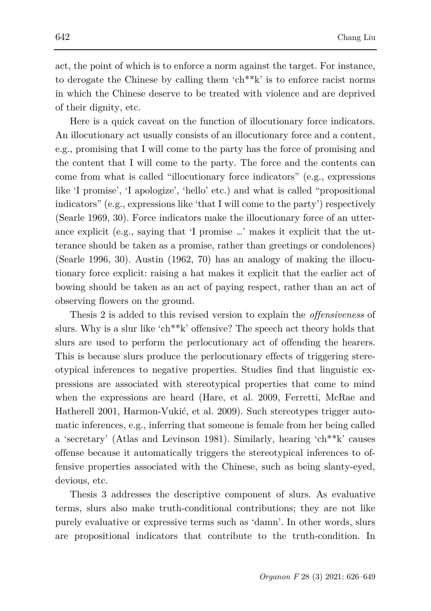act, the point of which is to enforce a norm against the target. For instance, to derogate the Chinese by calling them 'ch\*\*k' is to enforce racist norms in which the Chinese deserve to be treated with violence and are deprived of their dignity, etc.

Here is a quick caveat on the function of illocutionary force indicators. An illocutionary act usually consists of an illocutionary force and a content, e.g., promising that I will come to the party has the force of promising and the content that I will come to the party. The force and the contents can come from what is called "illocutionary force indicators" (e.g., expressions like 'I promise', 'I apologize', 'hello' etc.) and what is called "propositional indicators" (e.g., expressions like 'that I will come to the party') respectively (Searle 1969, 30). Force indicators make the illocutionary force of an utterance explicit (e.g., saying that 'I promise …' makes it explicit that the utterance should be taken as a promise, rather than greetings or condolences) (Searle 1996, 30). Austin (1962, 70) has an analogy of making the illocutionary force explicit: raising a hat makes it explicit that the earlier act of bowing should be taken as an act of paying respect, rather than an act of observing flowers on the ground.

Thesis 2 is added to this revised version to explain the *offensiveness* of slurs. Why is a slur like 'ch\*\*k' offensive? The speech act theory holds that slurs are used to perform the perlocutionary act of offending the hearers. This is because slurs produce the perlocutionary effects of triggering stereotypical inferences to negative properties. Studies find that linguistic expressions are associated with stereotypical properties that come to mind when the expressions are heard (Hare, et al. 2009, Ferretti, McRae and Hatherell 2001, Harmon-Vukić, et al. 2009). Such stereotypes trigger automatic inferences, e.g., inferring that someone is female from her being called a 'secretary' (Atlas and Levinson 1981). Similarly, hearing 'ch\*\*k' causes offense because it automatically triggers the stereotypical inferences to offensive properties associated with the Chinese, such as being slanty-eyed, devious, etc.

Thesis 3 addresses the descriptive component of slurs. As evaluative terms, slurs also make truth-conditional contributions; they are not like purely evaluative or expressive terms such as 'damn'. In other words, slurs are propositional indicators that contribute to the truth-condition. In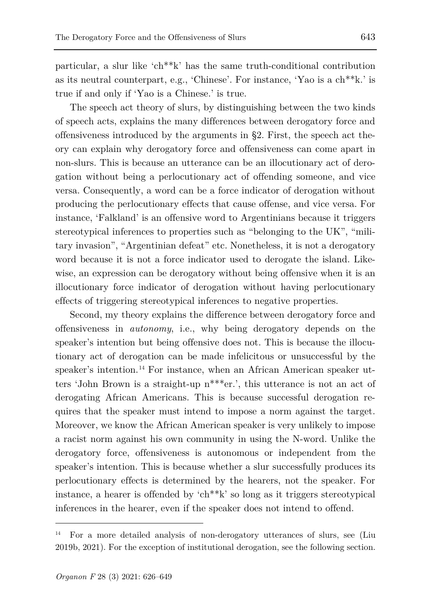particular, a slur like 'ch\*\*k' has the same truth-conditional contribution as its neutral counterpart, e.g., 'Chinese'. For instance, 'Yao is a ch\*\*k.' is true if and only if 'Yao is a Chinese.' is true.

The speech act theory of slurs, by distinguishing between the two kinds of speech acts, explains the many differences between derogatory force and offensiveness introduced by the arguments in §2. First, the speech act theory can explain why derogatory force and offensiveness can come apart in non-slurs. This is because an utterance can be an illocutionary act of derogation without being a perlocutionary act of offending someone, and vice versa. Consequently, a word can be a force indicator of derogation without producing the perlocutionary effects that cause offense, and vice versa. For instance, 'Falkland' is an offensive word to Argentinians because it triggers stereotypical inferences to properties such as "belonging to the UK", "military invasion", "Argentinian defeat" etc. Nonetheless, it is not a derogatory word because it is not a force indicator used to derogate the island. Likewise, an expression can be derogatory without being offensive when it is an illocutionary force indicator of derogation without having perlocutionary effects of triggering stereotypical inferences to negative properties.

Second, my theory explains the difference between derogatory force and offensiveness in *autonomy*, i.e., why being derogatory depends on the speaker's intention but being offensive does not. This is because the illocutionary act of derogation can be made infelicitous or unsuccessful by the speaker's intention.<sup>[14](#page-17-0)</sup> For instance, when an African American speaker utters 'John Brown is a straight-up n\*\*\*er.', this utterance is not an act of derogating African Americans. This is because successful derogation requires that the speaker must intend to impose a norm against the target. Moreover, we know the African American speaker is very unlikely to impose a racist norm against his own community in using the N-word. Unlike the derogatory force, offensiveness is autonomous or independent from the speaker's intention. This is because whether a slur successfully produces its perlocutionary effects is determined by the hearers, not the speaker. For instance, a hearer is offended by 'ch\*\*k' so long as it triggers stereotypical inferences in the hearer, even if the speaker does not intend to offend.

<span id="page-17-0"></span><sup>14</sup> For a more detailed analysis of non-derogatory utterances of slurs, see (Liu 2019b, 2021). For the exception of institutional derogation, see the following section.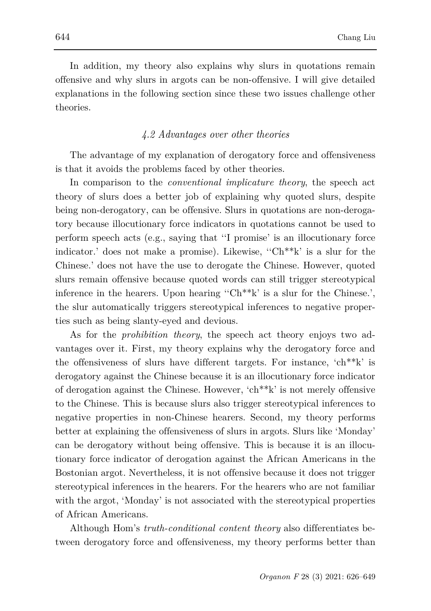In addition, my theory also explains why slurs in quotations remain offensive and why slurs in argots can be non-offensive. I will give detailed explanations in the following section since these two issues challenge other theories.

## *4.2 Advantages over other theories*

The advantage of my explanation of derogatory force and offensiveness is that it avoids the problems faced by other theories.

In comparison to the *conventional implicature theory*, the speech act theory of slurs does a better job of explaining why quoted slurs, despite being non-derogatory, can be offensive. Slurs in quotations are non-derogatory because illocutionary force indicators in quotations cannot be used to perform speech acts (e.g., saying that ''I promise' is an illocutionary force indicator.' does not make a promise). Likewise, ''Ch\*\*k' is a slur for the Chinese.' does not have the use to derogate the Chinese. However, quoted slurs remain offensive because quoted words can still trigger stereotypical inference in the hearers. Upon hearing ''Ch\*\*k' is a slur for the Chinese.', the slur automatically triggers stereotypical inferences to negative properties such as being slanty-eyed and devious.

As for the *prohibition theory*, the speech act theory enjoys two advantages over it. First, my theory explains why the derogatory force and the offensiveness of slurs have different targets. For instance, 'ch\*\*k' is derogatory against the Chinese because it is an illocutionary force indicator of derogation against the Chinese. However, 'ch\*\*k' is not merely offensive to the Chinese. This is because slurs also trigger stereotypical inferences to negative properties in non-Chinese hearers. Second, my theory performs better at explaining the offensiveness of slurs in argots. Slurs like 'Monday' can be derogatory without being offensive. This is because it is an illocutionary force indicator of derogation against the African Americans in the Bostonian argot. Nevertheless, it is not offensive because it does not trigger stereotypical inferences in the hearers. For the hearers who are not familiar with the argot, 'Monday' is not associated with the stereotypical properties of African Americans.

Although Hom's *truth-conditional content theory* also differentiates between derogatory force and offensiveness, my theory performs better than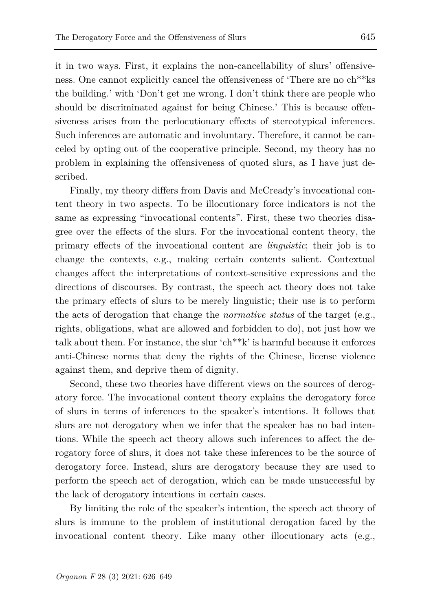it in two ways. First, it explains the non-cancellability of slurs' offensiveness. One cannot explicitly cancel the offensiveness of 'There are no ch\*\*ks the building.' with 'Don't get me wrong. I don't think there are people who should be discriminated against for being Chinese.' This is because offensiveness arises from the perlocutionary effects of stereotypical inferences. Such inferences are automatic and involuntary. Therefore, it cannot be canceled by opting out of the cooperative principle. Second, my theory has no problem in explaining the offensiveness of quoted slurs, as I have just described.

Finally, my theory differs from Davis and McCready's invocational content theory in two aspects. To be illocutionary force indicators is not the same as expressing "invocational contents". First, these two theories disagree over the effects of the slurs. For the invocational content theory, the primary effects of the invocational content are *linguistic*; their job is to change the contexts, e.g., making certain contents salient. Contextual changes affect the interpretations of context-sensitive expressions and the directions of discourses. By contrast, the speech act theory does not take the primary effects of slurs to be merely linguistic; their use is to perform the acts of derogation that change the *normative status* of the target (e.g., rights, obligations, what are allowed and forbidden to do), not just how we talk about them. For instance, the slur 'ch\*\*k' is harmful because it enforces anti-Chinese norms that deny the rights of the Chinese, license violence against them, and deprive them of dignity.

Second, these two theories have different views on the sources of derogatory force. The invocational content theory explains the derogatory force of slurs in terms of inferences to the speaker's intentions. It follows that slurs are not derogatory when we infer that the speaker has no bad intentions. While the speech act theory allows such inferences to affect the derogatory force of slurs, it does not take these inferences to be the source of derogatory force. Instead, slurs are derogatory because they are used to perform the speech act of derogation, which can be made unsuccessful by the lack of derogatory intentions in certain cases.

By limiting the role of the speaker's intention, the speech act theory of slurs is immune to the problem of institutional derogation faced by the invocational content theory. Like many other illocutionary acts (e.g.,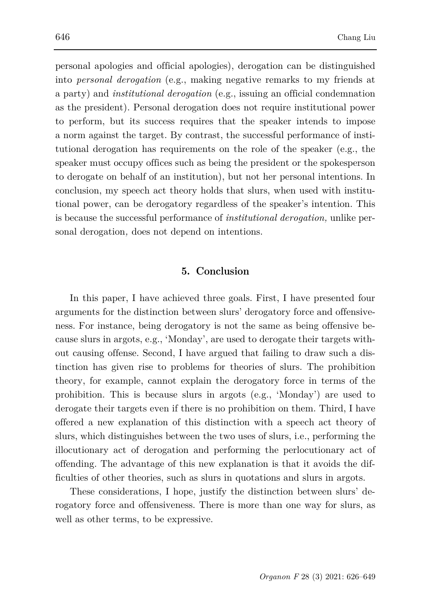personal apologies and official apologies), derogation can be distinguished into *personal derogation* (e.g., making negative remarks to my friends at a party) and *institutional derogation* (e.g., issuing an official condemnation as the president). Personal derogation does not require institutional power to perform, but its success requires that the speaker intends to impose a norm against the target. By contrast, the successful performance of institutional derogation has requirements on the role of the speaker (e.g., the speaker must occupy offices such as being the president or the spokesperson to derogate on behalf of an institution), but not her personal intentions. In conclusion, my speech act theory holds that slurs, when used with institutional power, can be derogatory regardless of the speaker's intention. This is because the successful performance of *institutional derogation,* unlike personal derogation*,* does not depend on intentions.

## **5. Conclusion**

In this paper, I have achieved three goals. First, I have presented four arguments for the distinction between slurs' derogatory force and offensiveness. For instance, being derogatory is not the same as being offensive because slurs in argots, e.g., 'Monday', are used to derogate their targets without causing offense. Second, I have argued that failing to draw such a distinction has given rise to problems for theories of slurs. The prohibition theory, for example, cannot explain the derogatory force in terms of the prohibition. This is because slurs in argots (e.g., 'Monday') are used to derogate their targets even if there is no prohibition on them. Third, I have offered a new explanation of this distinction with a speech act theory of slurs, which distinguishes between the two uses of slurs, i.e., performing the illocutionary act of derogation and performing the perlocutionary act of offending. The advantage of this new explanation is that it avoids the difficulties of other theories, such as slurs in quotations and slurs in argots.

These considerations, I hope, justify the distinction between slurs' derogatory force and offensiveness. There is more than one way for slurs, as well as other terms, to be expressive.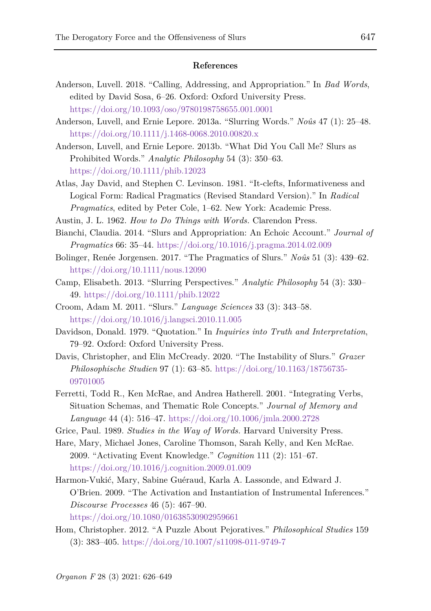#### **References**

- Anderson, Luvell. 2018. "Calling, Addressing, and Appropriation." In *Bad Words*, edited by David Sosa, 6–26. Oxford: Oxford University Press. <https://doi.org/10.1093/oso/9780198758655.001.0001>
- Anderson, Luvell, and Ernie Lepore. 2013a. "Slurring Words." *Noûs* 47 (1): 25–48. <https://doi.org/10.1111/j.1468-0068.2010.00820.x>
- Anderson, Luvell, and Ernie Lepore. 2013b. "What Did You Call Me? Slurs as Prohibited Words." *Analytic Philosophy* 54 (3): 350–63. <https://doi.org/10.1111/phib.12023>
- Atlas, Jay David, and Stephen C. Levinson. 1981. "It-clefts, Informativeness and Logical Form: Radical Pragmatics (Revised Standard Version)." In *Radical Pragmatics*, edited by Peter Cole, 1–62. New York: Academic Press.
- Austin, J. L. 1962. *How to Do Things with Words.* Clarendon Press.
- Bianchi, Claudia. 2014. "Slurs and Appropriation: An Echoic Account." *Journal of Pragmatics* 66: 35–44.<https://doi.org/10.1016/j.pragma.2014.02.009>
- Bolinger, Renée Jorgensen. 2017. "The Pragmatics of Slurs." *Noûs* 51 (3): 439–62. <https://doi.org/10.1111/nous.12090>
- Camp, Elisabeth. 2013. "Slurring Perspectives." *Analytic Philosophy* 54 (3): 330– 49[. https://doi.org/10.1111/phib.12022](https://doi.org/10.1111/phib.12022)
- Croom, Adam M. 2011. "Slurs." *Language Sciences* 33 (3): 343–58. <https://doi.org/10.1016/j.langsci.2010.11.005>
- Davidson, Donald. 1979. "Quotation." In *Inquiries into Truth and Interpretation*, 79–92. Oxford: Oxford University Press.
- Davis, Christopher, and Elin McCready. 2020. "The Instability of Slurs." *Grazer Philosophische Studien* 97 (1): 63–85. [https://doi.org/10.1163/18756735-](https://doi.org/10.1163/18756735-09701005) [09701005](https://doi.org/10.1163/18756735-09701005)
- Ferretti, Todd R., Ken McRae, and Andrea Hatherell. 2001. "Integrating Verbs, Situation Schemas, and Thematic Role Concepts." *Journal of Memory and Language* 44 (4): 516–47.<https://doi.org/10.1006/jmla.2000.2728>
- Grice, Paul. 1989. *Studies in the Way of Words.* Harvard University Press.
- Hare, Mary, Michael Jones, Caroline Thomson, Sarah Kelly, and Ken McRae. 2009. "Activating Event Knowledge." *Cognition* 111 (2): 151–67. <https://doi.org/10.1016/j.cognition.2009.01.009>
- Harmon-Vukić, Mary, Sabine Guéraud, Karla A. Lassonde, and Edward J. O'Brien. 2009. "The Activation and Instantiation of Instrumental Inferences." *Discourse Processes* 46 (5): 467–90. <https://doi.org/10.1080/01638530902959661>
- Hom, Christopher. 2012. "A Puzzle About Pejoratives." *Philosophical Studies* 159 (3): 383–405.<https://doi.org/10.1007/s11098-011-9749-7>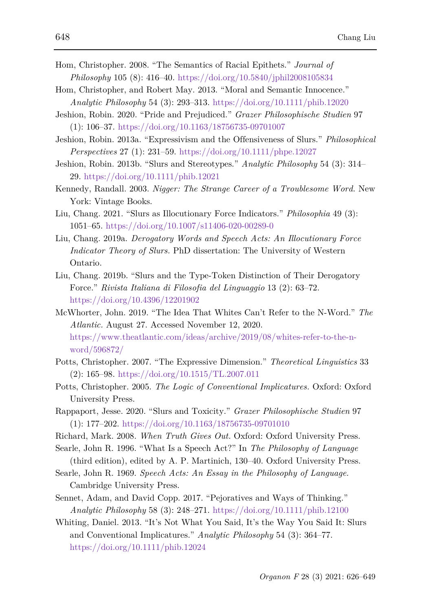- Hom, Christopher. 2008. "The Semantics of Racial Epithets." *Journal of Philosophy* 105 (8): 416–40.<https://doi.org/10.5840/jphil2008105834>
- Hom, Christopher, and Robert May. 2013. "Moral and Semantic Innocence." *Analytic Philosophy* 54 (3): 293–313.<https://doi.org/10.1111/phib.12020>
- Jeshion, Robin. 2020. "Pride and Prejudiced." *Grazer Philosophische Studien* 97 (1): 106–37.<https://doi.org/10.1163/18756735-09701007>
- Jeshion, Robin. 2013a. "Expressivism and the Offensiveness of Slurs." *Philosophical Perspectives* 27 (1): 231–59.<https://doi.org/10.1111/phpe.12027>
- Jeshion, Robin. 2013b. "Slurs and Stereotypes." *Analytic Philosophy* 54 (3): 314– 29[. https://doi.org/10.1111/phib.12021](https://doi.org/10.1111/phib.12021)
- Kennedy, Randall. 2003. *Nigger: The Strange Career of a Troublesome Word.* New York: Vintage Books.
- Liu, Chang. 2021. "Slurs as Illocutionary Force Indicators." *Philosophia* 49 (3): 1051–65.<https://doi.org/10.1007/s11406-020-00289-0>
- Liu, Chang. 2019a. *Derogatory Words and Speech Acts: An Illocutionary Force Indicator Theory of Slurs.* PhD dissertation: The University of Western Ontario.
- Liu, Chang. 2019b. "Slurs and the Type-Token Distinction of Their Derogatory Force." *Rivista Italiana di Filosofia del Linguaggio* 13 (2): 63–72. <https://doi.org/10.4396/12201902>
- McWhorter, John. 2019. "The Idea That Whites Can't Refer to the N-Word." *The Atlantic.* August 27. Accessed November 12, 2020. [https://www.theatlantic.com/ideas/archive/2019/08/whites-refer-to-the-n](https://www.theatlantic.com/ideas/archive/2019/08/whites-refer-to-the-n-word/596872/)[word/596872/](https://www.theatlantic.com/ideas/archive/2019/08/whites-refer-to-the-n-word/596872/)
- Potts, Christopher. 2007. "The Expressive Dimension." *Theoretical Linguistics* 33 (2): 165–98. <https://doi.org/10.1515/TL.2007.011>
- Potts, Christopher. 2005. *The Logic of Conventional Implicatures.* Oxford: Oxford University Press.
- Rappaport, Jesse. 2020. "Slurs and Toxicity." *Grazer Philosophische Studien* 97 (1): 177–202.<https://doi.org/10.1163/18756735-09701010>
- Richard, Mark. 2008. *When Truth Gives Out.* Oxford: Oxford University Press.
- Searle, John R. 1996. "What Is a Speech Act?" In *The Philosophy of Language*  (third edition), edited by A. P. Martinich, 130–40. Oxford University Press.
- Searle, John R. 1969. *Speech Acts: An Essay in the Philosophy of Language.* Cambridge University Press.
- Sennet, Adam, and David Copp. 2017. "Pejoratives and Ways of Thinking." *Analytic Philosophy* 58 (3): 248–271.<https://doi.org/10.1111/phib.12100>
- Whiting, Daniel. 2013. "It's Not What You Said, It's the Way You Said It: Slurs and Conventional Implicatures." *Analytic Philosophy* 54 (3): 364–77. <https://doi.org/10.1111/phib.12024>